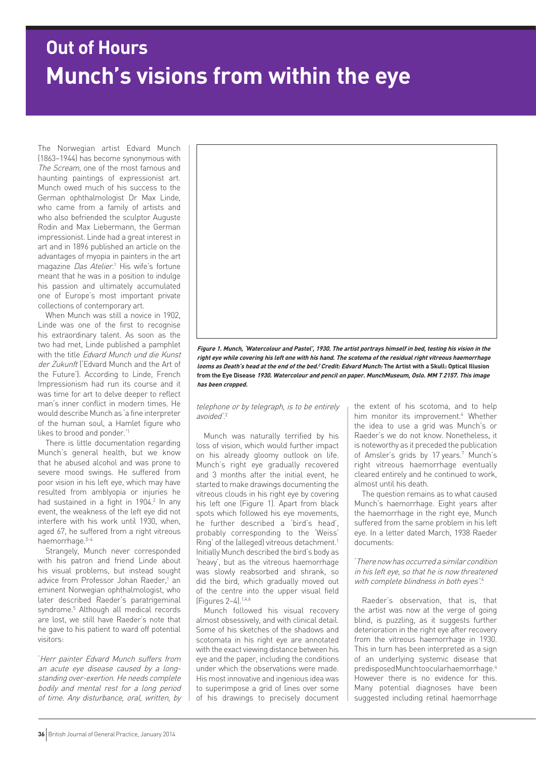# **Munch's visions from within the eye Out of Hours**

The Norwegian artist Edvard Munch (1863–1944) has become synonymous with The Scream, one of the most famous and haunting paintings of expressionist art. Munch owed much of his success to the German ophthalmologist Dr Max Linde, who came from a family of artists and who also befriended the sculptor Auguste Rodin and Max Liebermann, the German impressionist. Linde had a great interest in art and in 1896 published an article on the advantages of myopia in painters in the art magazine *Das Atelier*.<sup>1</sup> His wife's fortune meant that he was in a position to indulge his passion and ultimately accumulated one of Europe's most important private collections of contemporary art.

When Munch was still a novice in 1902, Linde was one of the first to recognise his extraordinary talent. As soon as the two had met, Linde published a pamphlet with the title Edvard Munch und die Kunst der Zukunft ('Edvard Munch and the Art of the Future'). According to Linde, French Impressionism had run its course and it was time for art to delve deeper to reflect man's inner conflict in modern times. He would describe Munch as 'a fine interpreter of the human soul, a Hamlet figure who likes to brood and ponder.'1

There is little documentation regarding Munch's general health, but we know that he abused alcohol and was prone to severe mood swings. He suffered from poor vision in his left eye, which may have resulted from amblyopia or injuries he had sustained in a fight in 1904.<sup>2</sup> In any event, the weakness of the left eye did not interfere with his work until 1930, when, aged 67, he suffered from a right vitreous haemorrhage.3–4

Strangely, Munch never corresponded with his patron and friend Linde about his visual problems, but instead sought advice from Professor Johan Raeder,<sup>1</sup> an eminent Norwegian ophthalmologist, who later described Raeder's paratrigeminal syndrome.5 Although all medical records are lost, we still have Raeder's note that he gave to his patient to ward off potential visitors:

'Herr painter Edvard Munch suffers from an acute eye disease caused by a longstanding over-exertion. He needs complete bodily and mental rest for a long period of time. Any disturbance, oral, written, by



**Figure 1. Munch, 'Watercolour and Pastel', 1930. The artist portrays himself in bed, testing his vision in the right eye while covering his left one with his hand. The scotoma of the residual right vitreous haemorrhage looms as Death's head at the end of the bed.<sup>2</sup>Credit: Edvard Munch: The Artist with a Skull: Optical Illusion from the Eye Disease 1930. Watercolour and pencil on paper. MunchMuseum, Oslo. MM T 2157. This image has been cropped.**

telephone or by telegraph, is to be entirely avoided'. 2

Munch was naturally terrified by his loss of vision, which would further impact on his already gloomy outlook on life. Munch's right eye gradually recovered and 3 months after the initial event, he started to make drawings documenting the vitreous clouds in his right eye by covering his left one (Figure 1). Apart from black spots which followed his eye movements, he further described a 'bird's head', probably corresponding to the 'Weiss' Ring' of the (alleged) vitreous detachment.<sup>1</sup> Initially Munch described the bird's body as 'heavy', but as the vitreous haemorrhage was slowly reabsorbed and shrank, so did the bird, which gradually moved out of the centre into the upper visual field (Figures 2–4).1,4,6

Munch followed his visual recovery almost obsessively, and with clinical detail. Some of his sketches of the shadows and scotomata in his right eye are annotated with the exact viewing distance between his eye and the paper, including the conditions under which the observations were made. His most innovative and ingenious idea was to superimpose a grid of lines over some of his drawings to precisely document the extent of his scotoma, and to help him monitor its improvement.<sup>4</sup> Whether the idea to use a grid was Munch's or Raeder's we do not know. Nonetheless, it is noteworthy as it preceded the publication of Amsler's grids by 17 years.<sup>7</sup> Munch's right vitreous haemorrhage eventually cleared entirely and he continued to work, almost until his death.

The question remains as to what caused Munch's haemorrhage. Eight years after the haemorrhage in the right eye, Munch suffered from the same problem in his left eye. In a letter dated March, 1938 Raeder documents:

'There now has occurred a similar condition in his left eye, so that he is now threatened with complete blindness in both eyes<sup>'.4</sup>

Raeder's observation, that is, that the artist was now at the verge of going blind, is puzzling, as it suggests further deterioration in the right eye after recovery from the vitreous haemorrhage in 1930. This in turn has been interpreted as a sign of an underlying systemic disease that predisposed Munch to ocular haemorrhage.<sup>4</sup> However there is no evidence for this. Many potential diagnoses have been suggested including retinal haemorrhage